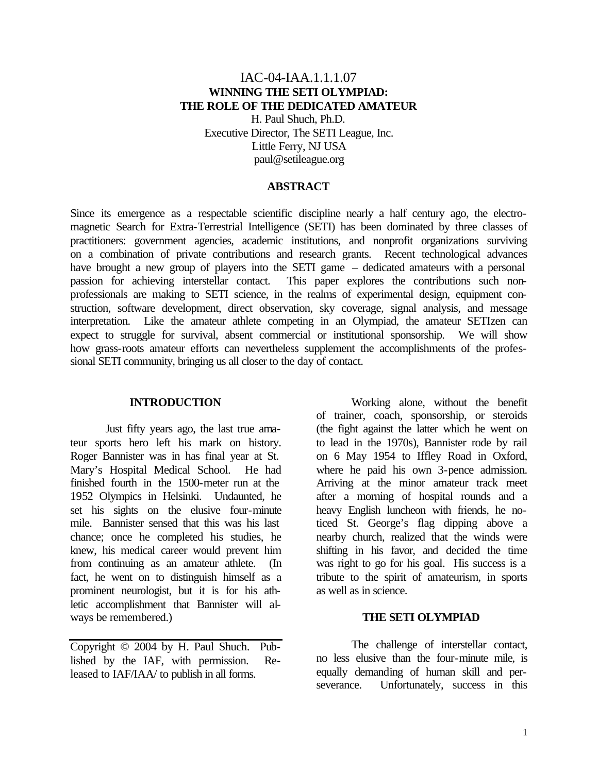#### IAC-04-IAA.1.1.1.07 **WINNING THE SETI OLYMPIAD: THE ROLE OF THE DEDICATED AMATEUR**

H. Paul Shuch, Ph.D. Executive Director, The SETI League, Inc. Little Ferry, NJ USA paul@setileague.org

#### **ABSTRACT**

Since its emergence as a respectable scientific discipline nearly a half century ago, the electromagnetic Search for Extra-Terrestrial Intelligence (SETI) has been dominated by three classes of practitioners: government agencies, academic institutions, and nonprofit organizations surviving on a combination of private contributions and research grants. Recent technological advances have brought a new group of players into the SETI game – dedicated amateurs with a personal passion for achieving interstellar contact. This paper explores the contributions such nonprofessionals are making to SETI science, in the realms of experimental design, equipment construction, software development, direct observation, sky coverage, signal analysis, and message interpretation. Like the amateur athlete competing in an Olympiad, the amateur SETIzen can expect to struggle for survival, absent commercial or institutional sponsorship. We will show how grass-roots amateur efforts can nevertheless supplement the accomplishments of the professional SETI community, bringing us all closer to the day of contact.

#### **INTRODUCTION**

Just fifty years ago, the last true amateur sports hero left his mark on history. Roger Bannister was in has final year at St. Mary's Hospital Medical School. He had finished fourth in the 1500-meter run at the 1952 Olympics in Helsinki. Undaunted, he set his sights on the elusive four-minute mile. Bannister sensed that this was his last chance; once he completed his studies, he knew, his medical career would prevent him from continuing as an amateur athlete. (In fact, he went on to distinguish himself as a prominent neurologist, but it is for his athletic accomplishment that Bannister will always be remembered.)

Copyright © 2004 by H. Paul Shuch. Published by the IAF, with permission. Released to IAF/IAA/ to publish in all forms.

Working alone, without the benefit of trainer, coach, sponsorship, or steroids (the fight against the latter which he went on to lead in the 1970s), Bannister rode by rail on 6 May 1954 to Iffley Road in Oxford, where he paid his own 3-pence admission. Arriving at the minor amateur track meet after a morning of hospital rounds and a heavy English luncheon with friends, he noticed St. George's flag dipping above a nearby church, realized that the winds were shifting in his favor, and decided the time was right to go for his goal. His success is a tribute to the spirit of amateurism, in sports as well as in science.

#### **THE SETI OLYMPIAD**

The challenge of interstellar contact, no less elusive than the four-minute mile, is equally demanding of human skill and perseverance. Unfortunately, success in this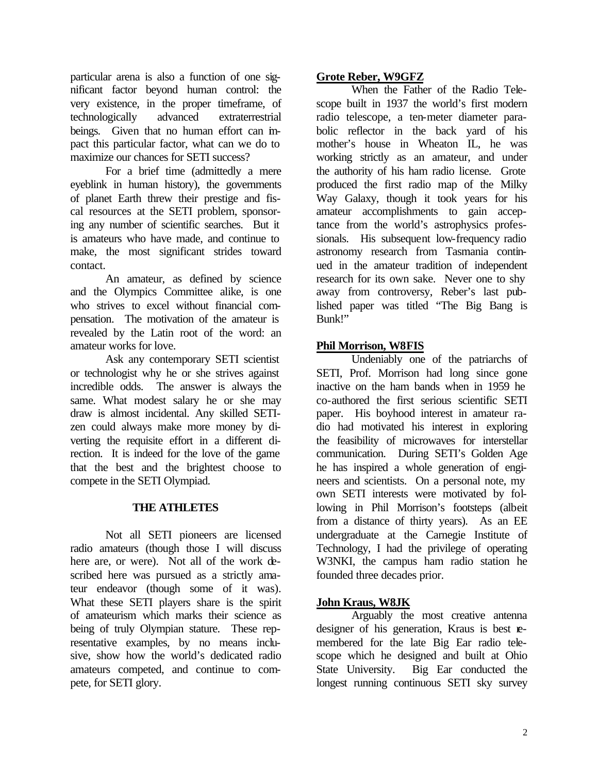particular arena is also a function of one significant factor beyond human control: the very existence, in the proper timeframe, of technologically advanced extraterrestrial beings. Given that no human effort can impact this particular factor, what can we do to maximize our chances for SETI success?

For a brief time (admittedly a mere eyeblink in human history), the governments of planet Earth threw their prestige and fiscal resources at the SETI problem, sponsoring any number of scientific searches. But it is amateurs who have made, and continue to make, the most significant strides toward contact.

An amateur, as defined by science and the Olympics Committee alike, is one who strives to excel without financial compensation. The motivation of the amateur is revealed by the Latin root of the word: an amateur works for love.

Ask any contemporary SETI scientist or technologist why he or she strives against incredible odds. The answer is always the same. What modest salary he or she may draw is almost incidental. Any skilled SETIzen could always make more money by diverting the requisite effort in a different direction. It is indeed for the love of the game that the best and the brightest choose to compete in the SETI Olympiad.

# **THE ATHLETES**

Not all SETI pioneers are licensed radio amateurs (though those I will discuss here are, or were). Not all of the work described here was pursued as a strictly amateur endeavor (though some of it was). What these SETI players share is the spirit of amateurism which marks their science as being of truly Olympian stature. These representative examples, by no means inclusive, show how the world's dedicated radio amateurs competed, and continue to compete, for SETI glory.

# **Grote Reber, W9GFZ**

When the Father of the Radio Telescope built in 1937 the world's first modern radio telescope, a ten-meter diameter parabolic reflector in the back yard of his mother's house in Wheaton IL, he was working strictly as an amateur, and under the authority of his ham radio license. Grote produced the first radio map of the Milky Way Galaxy, though it took years for his amateur accomplishments to gain acceptance from the world's astrophysics professionals. His subsequent low-frequency radio astronomy research from Tasmania continued in the amateur tradition of independent research for its own sake. Never one to shy away from controversy, Reber's last published paper was titled "The Big Bang is Bunk!"

# **Phil Morrison, W8FIS**

Undeniably one of the patriarchs of SETI, Prof. Morrison had long since gone inactive on the ham bands when in 1959 he co-authored the first serious scientific SETI paper. His boyhood interest in amateur radio had motivated his interest in exploring the feasibility of microwaves for interstellar communication. During SETI's Golden Age he has inspired a whole generation of engineers and scientists. On a personal note, my own SETI interests were motivated by following in Phil Morrison's footsteps (albeit from a distance of thirty years). As an EE undergraduate at the Carnegie Institute of Technology, I had the privilege of operating W3NKI, the campus ham radio station he founded three decades prior.

# **John Kraus, W8JK**

Arguably the most creative antenna designer of his generation, Kraus is best remembered for the late Big Ear radio telescope which he designed and built at Ohio State University. Big Ear conducted the longest running continuous SETI sky survey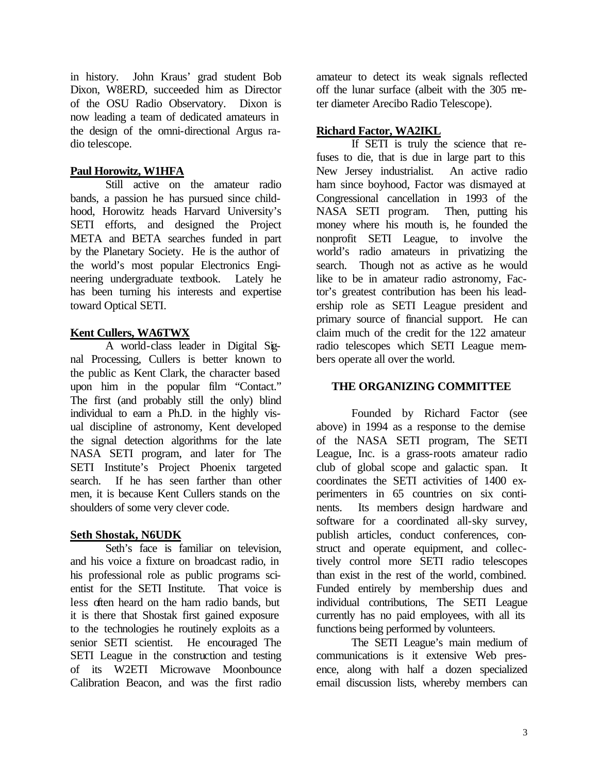in history. John Kraus' grad student Bob Dixon, W8ERD, succeeded him as Director of the OSU Radio Observatory. Dixon is now leading a team of dedicated amateurs in the design of the omni-directional Argus radio telescope.

# **Paul Horowitz, W1HFA**

Still active on the amateur radio bands, a passion he has pursued since childhood, Horowitz heads Harvard University's SETI efforts, and designed the Project META and BETA searches funded in part by the Planetary Society. He is the author of the world's most popular Electronics Engineering undergraduate textbook. Lately he has been turning his interests and expertise toward Optical SETI.

#### **Kent Cullers, WA6TWX**

A world-class leader in Digital Signal Processing, Cullers is better known to the public as Kent Clark, the character based upon him in the popular film "Contact." The first (and probably still the only) blind individual to earn a Ph.D. in the highly visual discipline of astronomy, Kent developed the signal detection algorithms for the late NASA SETI program, and later for The SETI Institute's Project Phoenix targeted search. If he has seen farther than other men, it is because Kent Cullers stands on the shoulders of some very clever code.

# **Seth Shostak, N6UDK**

Seth's face is familiar on television, and his voice a fixture on broadcast radio, in his professional role as public programs scientist for the SETI Institute. That voice is less often heard on the ham radio bands, but it is there that Shostak first gained exposure to the technologies he routinely exploits as a senior SETI scientist. He encouraged The SETI League in the construction and testing of its W2ETI Microwave Moonbounce Calibration Beacon, and was the first radio

amateur to detect its weak signals reflected off the lunar surface (albeit with the 305 meter diameter Arecibo Radio Telescope).

#### **Richard Factor, WA2IKL**

If SETI is truly the science that refuses to die, that is due in large part to this New Jersey industrialist. An active radio ham since boyhood, Factor was dismayed at Congressional cancellation in 1993 of the NASA SETI program. Then, putting his money where his mouth is, he founded the nonprofit SETI League, to involve the world's radio amateurs in privatizing the search. Though not as active as he would like to be in amateur radio astronomy, Factor's greatest contribution has been his leadership role as SETI League president and primary source of financial support. He can claim much of the credit for the 122 amateur radio telescopes which SETI League members operate all over the world.

#### **THE ORGANIZING COMMITTEE**

Founded by Richard Factor (see above) in 1994 as a response to the demise of the NASA SETI program, The SETI League, Inc. is a grass-roots amateur radio club of global scope and galactic span. It coordinates the SETI activities of 1400 experimenters in 65 countries on six continents. Its members design hardware and software for a coordinated all-sky survey, publish articles, conduct conferences, construct and operate equipment, and collectively control more SETI radio telescopes than exist in the rest of the world, combined. Funded entirely by membership dues and individual contributions, The SETI League currently has no paid employees, with all its functions being performed by volunteers.

The SETI League's main medium of communications is it extensive Web presence, along with half a dozen specialized email discussion lists, whereby members can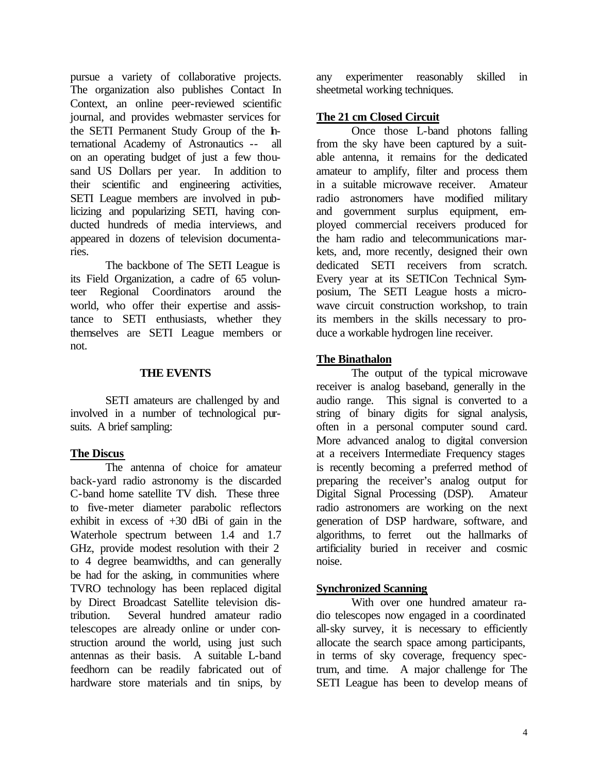pursue a variety of collaborative projects. The organization also publishes Contact In Context, an online peer-reviewed scientific journal, and provides webmaster services for the SETI Permanent Study Group of the International Academy of Astronautics -- all on an operating budget of just a few thousand US Dollars per year. In addition to their scientific and engineering activities, SETI League members are involved in publicizing and popularizing SETI, having conducted hundreds of media interviews, and appeared in dozens of television documentaries.

The backbone of The SETI League is its Field Organization, a cadre of 65 volunteer Regional Coordinators around the world, who offer their expertise and assistance to SETI enthusiasts, whether they themselves are SETI League members or not.

#### **THE EVENTS**

SETI amateurs are challenged by and involved in a number of technological pursuits. A brief sampling:

# **The Discus**

The antenna of choice for amateur back-yard radio astronomy is the discarded C-band home satellite TV dish. These three to five-meter diameter parabolic reflectors exhibit in excess of +30 dBi of gain in the Waterhole spectrum between 1.4 and 1.7 GHz, provide modest resolution with their 2 to 4 degree beamwidths, and can generally be had for the asking, in communities where TVRO technology has been replaced digital by Direct Broadcast Satellite television distribution. Several hundred amateur radio telescopes are already online or under construction around the world, using just such antennas as their basis. A suitable L-band feedhorn can be readily fabricated out of hardware store materials and tin snips, by

any experimenter reasonably skilled in sheetmetal working techniques.

#### **The 21 cm Closed Circuit**

Once those L-band photons falling from the sky have been captured by a suitable antenna, it remains for the dedicated amateur to amplify, filter and process them in a suitable microwave receiver. Amateur radio astronomers have modified military and government surplus equipment, employed commercial receivers produced for the ham radio and telecommunications markets, and, more recently, designed their own dedicated SETI receivers from scratch. Every year at its SETICon Technical Symposium, The SETI League hosts a microwave circuit construction workshop, to train its members in the skills necessary to produce a workable hydrogen line receiver.

# **The Binathalon**

The output of the typical microwave receiver is analog baseband, generally in the audio range. This signal is converted to a string of binary digits for signal analysis, often in a personal computer sound card. More advanced analog to digital conversion at a receivers Intermediate Frequency stages is recently becoming a preferred method of preparing the receiver's analog output for Digital Signal Processing (DSP). Amateur radio astronomers are working on the next generation of DSP hardware, software, and algorithms, to ferret out the hallmarks of artificiality buried in receiver and cosmic noise.

# **Synchronized Scanning**

With over one hundred amateur radio telescopes now engaged in a coordinated all-sky survey, it is necessary to efficiently allocate the search space among participants, in terms of sky coverage, frequency spectrum, and time. A major challenge for The SETI League has been to develop means of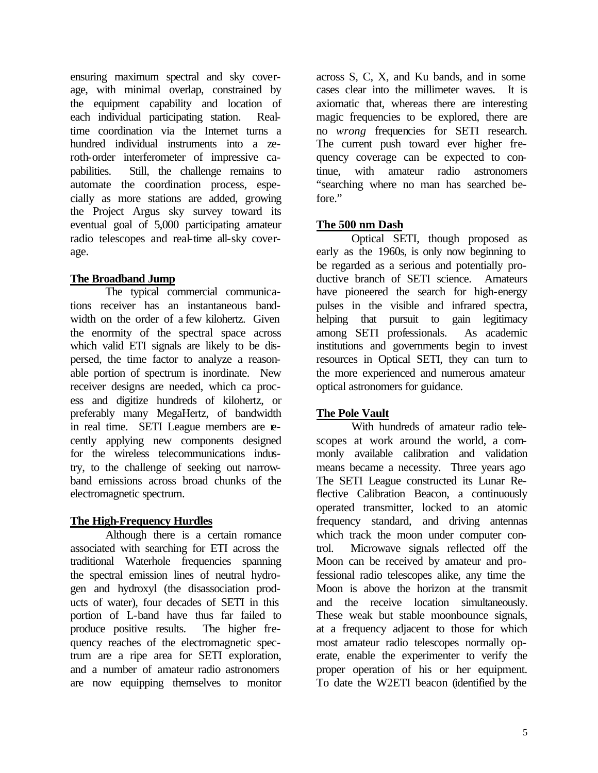ensuring maximum spectral and sky coverage, with minimal overlap, constrained by the equipment capability and location of each individual participating station. Realtime coordination via the Internet turns a hundred individual instruments into a zeroth-order interferometer of impressive capabilities. Still, the challenge remains to automate the coordination process, especially as more stations are added, growing the Project Argus sky survey toward its eventual goal of 5,000 participating amateur radio telescopes and real-time all-sky coverage.

# **The Broadband Jump**

The typical commercial communications receiver has an instantaneous bandwidth on the order of a few kilohertz. Given the enormity of the spectral space across which valid ETI signals are likely to be dispersed, the time factor to analyze a reasonable portion of spectrum is inordinate. New receiver designs are needed, which ca process and digitize hundreds of kilohertz, or preferably many MegaHertz, of bandwidth in real time. SETI League members are recently applying new components designed for the wireless telecommunications industry, to the challenge of seeking out narrowband emissions across broad chunks of the electromagnetic spectrum.

# **The High-Frequency Hurdles**

Although there is a certain romance associated with searching for ETI across the traditional Waterhole frequencies spanning the spectral emission lines of neutral hydrogen and hydroxyl (the disassociation products of water), four decades of SETI in this portion of L-band have thus far failed to produce positive results. The higher frequency reaches of the electromagnetic spectrum are a ripe area for SETI exploration, and a number of amateur radio astronomers are now equipping themselves to monitor

across S, C, X, and Ku bands, and in some cases clear into the millimeter waves. It is axiomatic that, whereas there are interesting magic frequencies to be explored, there are no *wrong* frequencies for SETI research. The current push toward ever higher frequency coverage can be expected to continue, with amateur radio astronomers "searching where no man has searched before."

# **The 500 nm Dash**

Optical SETI, though proposed as early as the 1960s, is only now beginning to be regarded as a serious and potentially productive branch of SETI science. Amateurs have pioneered the search for high-energy pulses in the visible and infrared spectra, helping that pursuit to gain legitimacy among SETI professionals. As academic institutions and governments begin to invest resources in Optical SETI, they can turn to the more experienced and numerous amateur optical astronomers for guidance.

# **The Pole Vault**

With hundreds of amateur radio telescopes at work around the world, a commonly available calibration and validation means became a necessity. Three years ago The SETI League constructed its Lunar Reflective Calibration Beacon, a continuously operated transmitter, locked to an atomic frequency standard, and driving antennas which track the moon under computer control. Microwave signals reflected off the Moon can be received by amateur and professional radio telescopes alike, any time the Moon is above the horizon at the transmit and the receive location simultaneously. These weak but stable moonbounce signals, at a frequency adjacent to those for which most amateur radio telescopes normally operate, enable the experimenter to verify the proper operation of his or her equipment. To date the W2ETI beacon (identified by the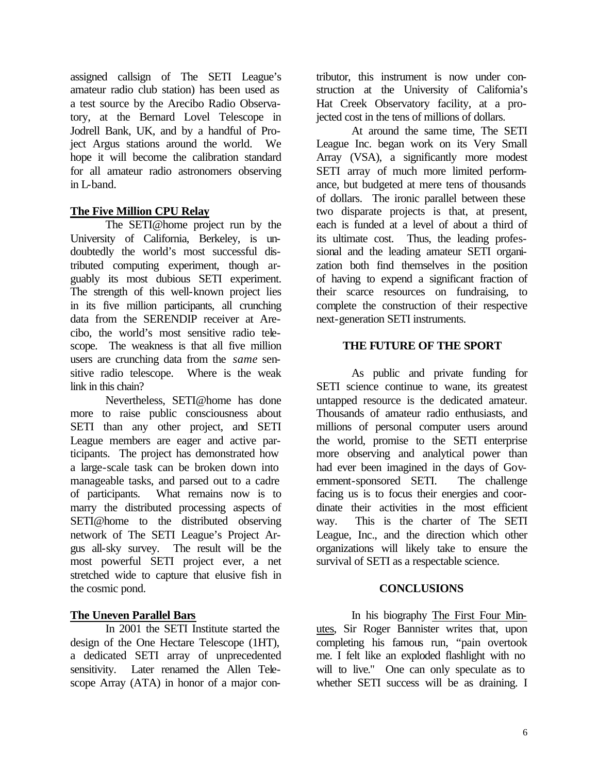assigned callsign of The SETI League's amateur radio club station) has been used as a test source by the Arecibo Radio Observatory, at the Bernard Lovel Telescope in Jodrell Bank, UK, and by a handful of Project Argus stations around the world. We hope it will become the calibration standard for all amateur radio astronomers observing in L-band.

#### **The Five Million CPU Relay**

The SETI@home project run by the University of California, Berkeley, is undoubtedly the world's most successful distributed computing experiment, though arguably its most dubious SETI experiment. The strength of this well-known project lies in its five million participants, all crunching data from the SERENDIP receiver at Arecibo, the world's most sensitive radio telescope. The weakness is that all five million users are crunching data from the *same* sensitive radio telescope. Where is the weak link in this chain?

Nevertheless, SETI@home has done more to raise public consciousness about SETI than any other project, and SETI League members are eager and active participants. The project has demonstrated how a large-scale task can be broken down into manageable tasks, and parsed out to a cadre of participants. What remains now is to marry the distributed processing aspects of SETI@home to the distributed observing network of The SETI League's Project Argus all-sky survey. The result will be the most powerful SETI project ever, a net stretched wide to capture that elusive fish in the cosmic pond.

# **The Uneven Parallel Bars**

In 2001 the SETI Institute started the design of the One Hectare Telescope (1HT), a dedicated SETI array of unprecedented sensitivity. Later renamed the Allen Telescope Array (ATA) in honor of a major con-

tributor, this instrument is now under construction at the University of California's Hat Creek Observatory facility, at a projected cost in the tens of millions of dollars.

At around the same time, The SETI League Inc. began work on its Very Small Array (VSA), a significantly more modest SETI array of much more limited performance, but budgeted at mere tens of thousands of dollars. The ironic parallel between these two disparate projects is that, at present, each is funded at a level of about a third of its ultimate cost. Thus, the leading professional and the leading amateur SETI organization both find themselves in the position of having to expend a significant fraction of their scarce resources on fundraising, to complete the construction of their respective next-generation SETI instruments.

#### **THE FUTURE OF THE SPORT**

As public and private funding for SETI science continue to wane, its greatest untapped resource is the dedicated amateur. Thousands of amateur radio enthusiasts, and millions of personal computer users around the world, promise to the SETI enterprise more observing and analytical power than had ever been imagined in the days of Government-sponsored SETI. The challenge facing us is to focus their energies and coordinate their activities in the most efficient way. This is the charter of The SETI League, Inc., and the direction which other organizations will likely take to ensure the survival of SETI as a respectable science.

#### **CONCLUSIONS**

In his biography The First Four Minutes, Sir Roger Bannister writes that, upon completing his famous run, "pain overtook me. I felt like an exploded flashlight with no will to live." One can only speculate as to whether SETI success will be as draining. I